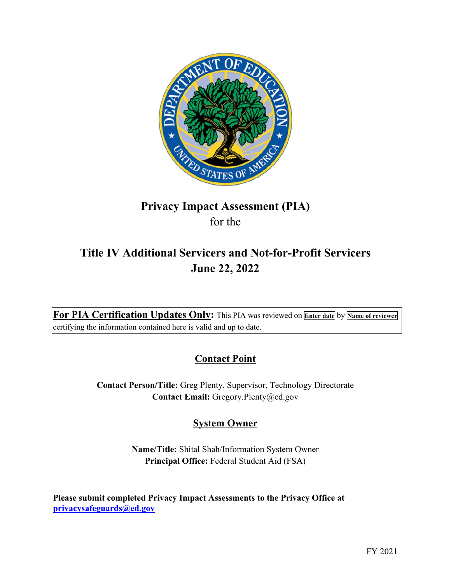

# **Privacy Impact Assessment (PIA)**  for the

# **Title IV Additional Servicers and Not-for-Profit Servicers June 22, 2022**

 **For PIA Certification Updates Only:** This PIA was reviewed on **Enter date** by **Name of reviewer**  certifying the information contained here is valid and up to date.

# **Contact Point**

**Contact Person/Title:** Greg Plenty, Supervisor, Technology Directorate **Contact Email:** [Gregory.Plenty@ed.gov](mailto:Gregory.Plenty@ed.gov)

# **System Owner**

**Name/Title:** Shital Shah/Information System Owner **Principal Office:** Federal Student Aid (FSA)

 **Please submit completed Privacy Impact Assessments to the Privacy Office at [privacysafeguards@ed.gov](mailto:privacysafeguards@ed.gov)**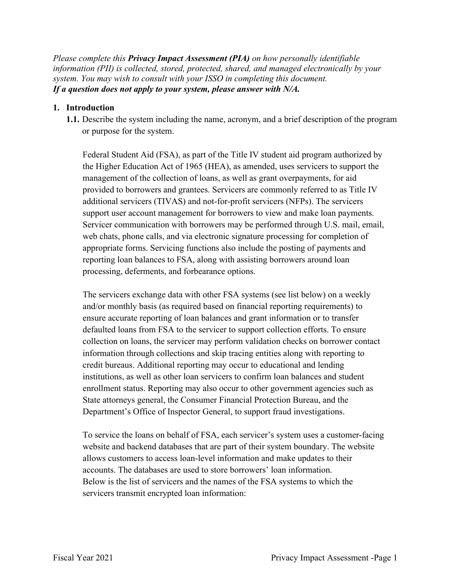*Please complete this Privacy Impact Assessment (PIA) on how personally identifiable information (PII) is collected, stored, protected, shared, and managed electronically by your system. You may wish to consult with your ISSO in completing this document. If a question does not apply to your system, please answer with N/A.* 

## **1. Introduction**

or purpose for the system. **1.1.** Describe the system including the name, acronym, and a brief description of the program

 management of the collection of loans, as well as grant overpayments, for aid provided to borrowers and grantees. Servicers are commonly referred to as Title IV Federal Student Aid (FSA), as part of the Title IV student aid program authorized by the Higher Education Act of 1965 (HEA), as amended, uses servicers to support the additional servicers (TIVAS) and not-for-profit servicers (NFPs). The servicers support user account management for borrowers to view and make loan payments. Servicer communication with borrowers may be performed through U.S. mail, email, web chats, phone calls, and via electronic signature processing for completion of appropriate forms. Servicing functions also include the posting of payments and reporting loan balances to FSA, along with assisting borrowers around loan processing, deferments, and forbearance options.

 The servicers exchange data with other FSA systems (see list below) on a weekly collection on loans, the servicer may perform validation checks on borrower contact and/or monthly basis (as required based on financial reporting requirements) to ensure accurate reporting of loan balances and grant information or to transfer defaulted loans from FSA to the servicer to support collection efforts. To ensure information through collections and skip tracing entities along with reporting to credit bureaus. Additional reporting may occur to educational and lending institutions, as well as other loan servicers to confirm loan balances and student enrollment status. Reporting may also occur to other government agencies such as State attorneys general, the Consumer Financial Protection Bureau, and the Department's Office of Inspector General, to support fraud investigations.

 allows customers to access loan-level information and make updates to their To service the loans on behalf of FSA, each servicer's system uses a customer-facing website and backend databases that are part of their system boundary. The website accounts. The databases are used to store borrowers' loan information. Below is the list of servicers and the names of the FSA systems to which the servicers transmit encrypted loan information: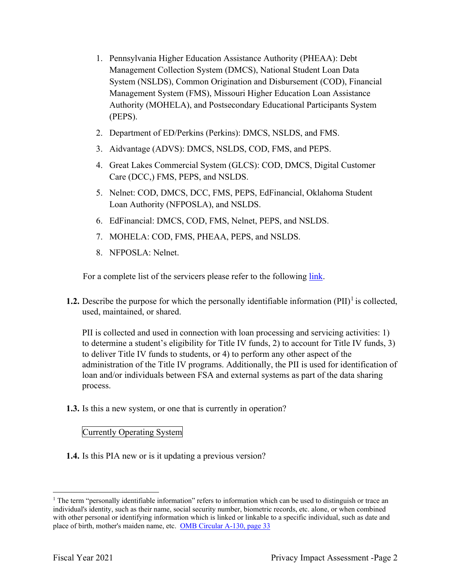- 1. Pennsylvania Higher Education Assistance Authority (PHEAA): Debt Management Collection System (DMCS), National Student Loan Data System (NSLDS), Common Origination and Disbursement (COD), Financial Management System (FMS), Missouri Higher Education Loan Assistance Authority (MOHELA), and Postsecondary Educational Participants System (PEPS).
- 2. Department of ED/Perkins (Perkins): DMCS, NSLDS, and FMS.
- 3. Aidvantage (ADVS): DMCS, NSLDS, COD, FMS, and PEPS.
- 4. Great Lakes Commercial System (GLCS): COD, DMCS, Digital Customer Care (DCC,) FMS, PEPS, and NSLDS.
- 5. Nelnet: COD, DMCS, DCC, FMS, PEPS, EdFinancial, Oklahoma Student Loan Authority (NFPOSLA), and NSLDS.
- 6. EdFinancial: DMCS, COD, FMS, Nelnet, PEPS, and NSLDS.
- 7. MOHELA: COD, FMS, PHEAA, PEPS, and NSLDS.
- 8. NFPOSLA: Nelnet.

For a complete list of the servicers please refer to the following link.

**1.2.** Describe the purpose for which the personally identifiable information  $(PII)^{1}$  is collected, used, maintained, or shared.

 to determine a student's eligibility for Title IV funds, 2) to account for Title IV funds, 3) to deliver Title IV funds to students, or 4) to perform any other aspect of the PII is collected and used in connection with loan processing and servicing activities: 1) administration of the Title IV programs. Additionally, the PII is used for identification of loan and/or individuals between FSA and external systems as part of the data sharing process.

**1.3.** Is this a new system, or one that is currently in operation?

### Currently Operating System

**1.4.** Is this PIA new or is it updating a previous version?

 $1$  The term "personally identifiable information" refers to information which can be used to distinguish or trace an individual's identity, such as their name, social security number, biometric records, etc. alone, or when combined with other personal or identifying information which is linked or linkable to a specific individual, such as date and place of birth, mother's maiden name, etc. OMB Circular A-130, page 33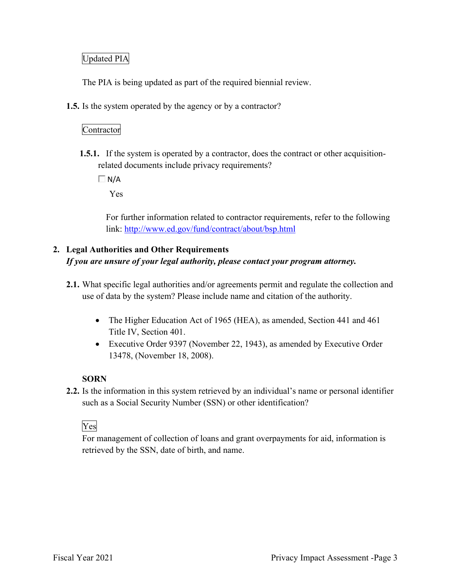# Updated PIA

The PIA is being updated as part of the required biennial review.

**1.5.** Is the system operated by the agency or by a contractor?

# Contractor

 **1.5.1.** If the system is operated by a contractor, does the contract or other acquisitionrelated documents include privacy requirements?

 $\Box$  N/A

Yes

For further information related to contractor requirements, refer to the following link:<http://www.ed.gov/fund/contract/about/bsp.html>

# **2. Legal Authorities and Other Requirements**  *If you are unsure of your legal authority, please contact your program attorney.*

- **2.1.** What specific legal authorities and/or agreements permit and regulate the collection and use of data by the system? Please include name and citation of the authority.
	- The Higher Education Act of 1965 (HEA), as amended, Section 441 and 461 Title IV, Section 401.
	- Executive Order 9397 (November 22, 1943), as amended by Executive Order 13478, (November 18, 2008).

# **SORN**

 **2.2.** Is the information in this system retrieved by an individual's name or personal identifier such as a Social Security Number (SSN) or other identification?<br>Ves

For management of collection of loans and grant overpayments for aid, information is retrieved by the SSN, date of birth, and name.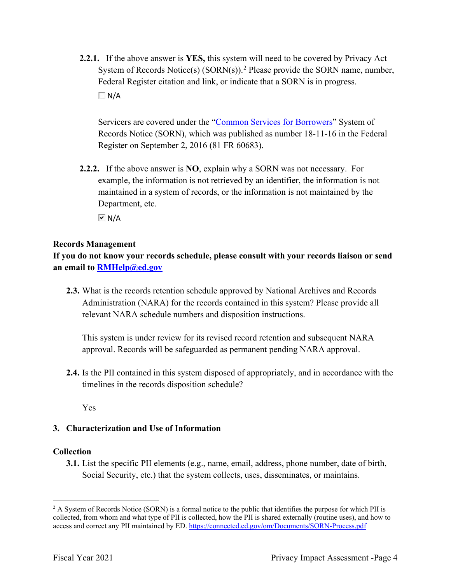**2.2.1.** If the above answer is **YES,** this system will need to be covered by Privacy Act System of Records Notice(s)  $(SORN(s))$ .<sup>2</sup> Please provide the SORN name, number, Federal Register citation and link, or indicate that a SORN is in progress.  $\Box$  N/A

 Records Notice (SORN), which was published as number 18-11-16 in the Federal Servicers are covered under the "Common Services for Borrowers" System of Register on September 2, 2016 (81 FR 60683).

 **2.2.2.** If the above answer is **NO**, explain why a SORN was not necessary. For Department, etc. example, the information is not retrieved by an identifier, the information is not maintained in a system of records, or the information is not maintained by the

 $\overline{M}$  N/A

# **Records Management**

 **an email to [RMHelp@ed.gov](mailto:RMHelp@ed.gov) If you do not know your records schedule, please consult with your records liaison or send** 

 Administration (NARA) for the records contained in this system? Please provide all **2.3.** What is the records retention schedule approved by National Archives and Records relevant NARA schedule numbers and disposition instructions.

 This system is under review for its revised record retention and subsequent NARA approval. Records will be safeguarded as permanent pending NARA approval.

**2.4.** Is the PII contained in this system disposed of appropriately, and in accordance with the timelines in the records disposition schedule?

Yes

# **3. Characterization and Use of Information**

# **Collection**

**3.1.** List the specific PII elements (e.g., name, email, address, phone number, date of birth, Social Security, etc.) that the system collects, uses, disseminates, or maintains.

 $2$  A System of Records Notice (SORN) is a formal notice to the public that identifies the purpose for which PII is collected, from whom and what type of PII is collected, how the PII is shared externally (routine uses), and how to access and correct any PII maintained by ED. <https://connected.ed.gov/om/Documents/SORN-Process.pdf>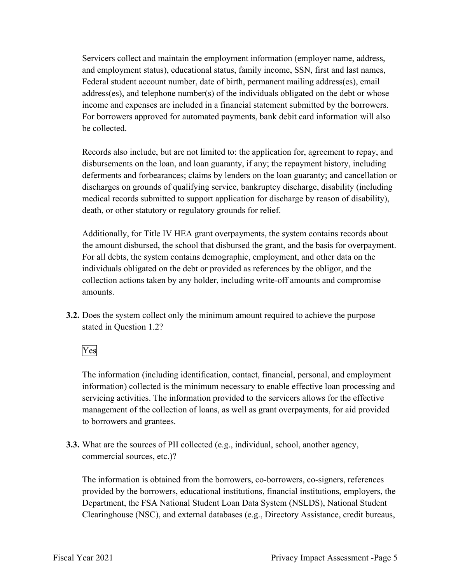income and expenses are included in a financial statement submitted by the borrowers. Servicers collect and maintain the employment information (employer name, address, and employment status), educational status, family income, SSN, first and last names, Federal student account number, date of birth, permanent mailing address(es), email address(es), and telephone number(s) of the individuals obligated on the debt or whose For borrowers approved for automated payments, bank debit card information will also be collected.

 disbursements on the loan, and loan guaranty, if any; the repayment history, including Records also include, but are not limited to: the application for, agreement to repay, and deferments and forbearances; claims by lenders on the loan guaranty; and cancellation or discharges on grounds of qualifying service, bankruptcy discharge, disability (including medical records submitted to support application for discharge by reason of disability), death, or other statutory or regulatory grounds for relief.

 individuals obligated on the debt or provided as references by the obligor, and the Additionally, for Title IV HEA grant overpayments, the system contains records about the amount disbursed, the school that disbursed the grant, and the basis for overpayment. For all debts, the system contains demographic, employment, and other data on the collection actions taken by any holder, including write-off amounts and compromise amounts.

 **3.2.** Does the system collect only the minimum amount required to achieve the purpose stated in Question 1.2?<br>Yes

 information) collected is the minimum necessary to enable effective loan processing and servicing activities. The information provided to the servicers allows for the effective The information (including identification, contact, financial, personal, and employment management of the collection of loans, as well as grant overpayments, for aid provided to borrowers and grantees.

**3.3.** What are the sources of PII collected (e.g., individual, school, another agency, commercial sources, etc.)?

The information is obtained from the borrowers, co-borrowers, co-signers, references provided by the borrowers, educational institutions, financial institutions, employers, the Department, the FSA National Student Loan Data System (NSLDS), National Student Clearinghouse (NSC), and external databases (e.g., Directory Assistance, credit bureaus,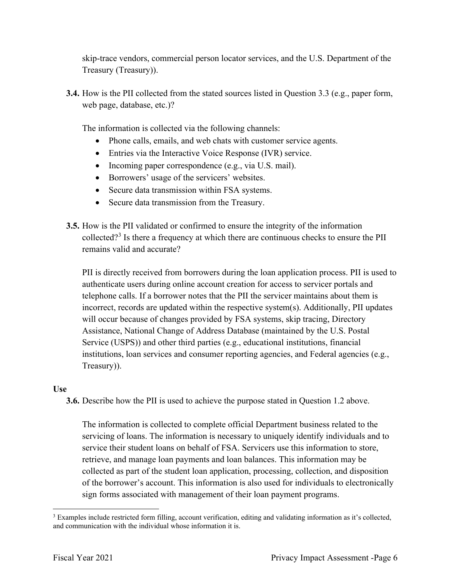skip-trace vendors, commercial person locator services, and the U.S. Department of the Treasury (Treasury)).

 **3.4.** How is the PII collected from the stated sources listed in Question 3.3 (e.g., paper form, web page, database, etc.)?

The information is collected via the following channels:

- Phone calls, emails, and web chats with customer service agents.
- Entries via the Interactive Voice Response (IVR) service.
- Incoming paper correspondence (e.g., via U.S. mail).
- Borrowers' usage of the servicers' websites.
- Secure data transmission within FSA systems.
- Secure data transmission from the Treasury.
- **3.5.** How is the PII validated or confirmed to ensure the integrity of the information collected?<sup>3</sup> Is there a frequency at which there are continuous checks to ensure the PII remains valid and accurate?

 Treasury)). PII is directly received from borrowers during the loan application process. PII is used to authenticate users during online account creation for access to servicer portals and telephone calls. If a borrower notes that the PII the servicer maintains about them is incorrect, records are updated within the respective system(s). Additionally, PII updates will occur because of changes provided by FSA systems, skip tracing, Directory Assistance, National Change of Address Database (maintained by the U.S. Postal Service (USPS)) and other third parties (e.g., educational institutions, financial institutions, loan services and consumer reporting agencies, and Federal agencies (e.g.,

# **Use**

**3.6.** Describe how the PII is used to achieve the purpose stated in Question 1.2 above.

 The information is collected to complete official Department business related to the collected as part of the student loan application, processing, collection, and disposition servicing of loans. The information is necessary to uniquely identify individuals and to service their student loans on behalf of FSA. Servicers use this information to store, retrieve, and manage loan payments and loan balances. This information may be of the borrower's account. This information is also used for individuals to electronically sign forms associated with management of their loan payment programs.

 $3$  Examples include restricted form filling, account verification, editing and validating information as it's collected, and communication with the individual whose information it is.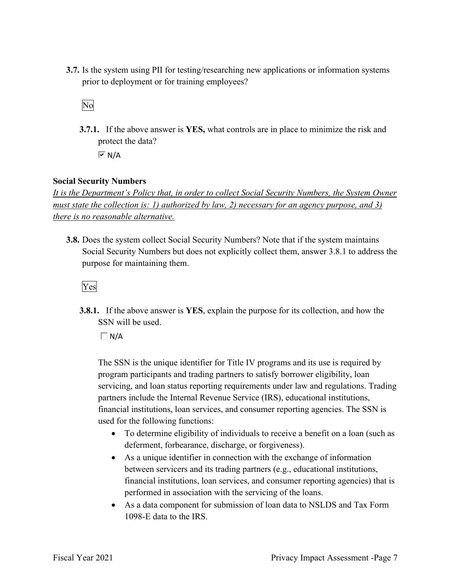prior to deployment or for training employees?<br>No **3.7.** Is the system using PII for testing/researching new applications or information systems

 **3.7.1.** If the above answer is **YES,** what controls are in place to minimize the risk and protect the data?  $\overline{M}$  N/A

# **Social Security Numbers**

*It is the Department's Policy that, in order to collect Social Security Numbers, the System Owner must state the collection is: 1) authorized by law, 2) necessary for an agency purpose, and 3) there is no reasonable alternative.* 

 **3.8.** Does the system collect Social Security Numbers? Note that if the system maintains Social Security Numbers but does not explicitly collect them, answer 3.8.1 to address the purpose for maintaining them.

# Yes

**3.8.1.** If the above answer is **YES**, explain the purpose for its collection, and how the SSN will be used.

 $\Box$  N/A

 The SSN is the unique identifier for Title IV programs and its use is required by program participants and trading partners to satisfy borrower eligibility, loan servicing, and loan status reporting requirements under law and regulations. Trading partners include the Internal Revenue Service (IRS), educational institutions, financial institutions, loan services, and consumer reporting agencies. The SSN is used for the following functions:

- • To determine eligibility of individuals to receive a benefit on a loan (such as deferment, forbearance, discharge, or forgiveness).
- As a unique identifier in connection with the exchange of information between servicers and its trading partners (e.g., educational institutions, financial institutions, loan services, and consumer reporting agencies) that is performed in association with the servicing of the loans.
- 1098-E data to the IRS. • As a data component for submission of loan data to NSLDS and Tax Form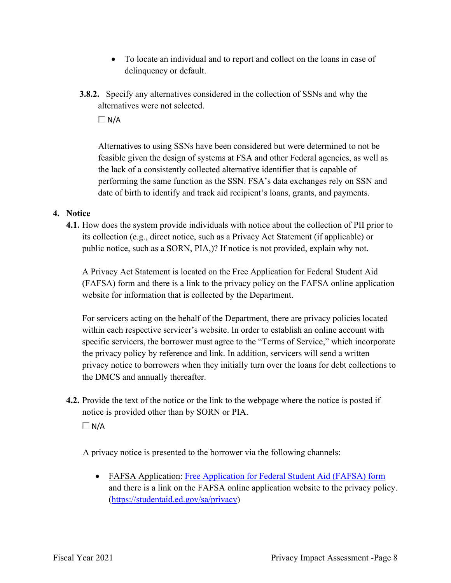- To locate an individual and to report and collect on the loans in case of delinquency or default.
- **3.8.2.** Specify any alternatives considered in the collection of SSNs and why the alternatives were not selected.

 $\Box$ N/A

Alternatives to using SSNs have been considered but were determined to not be feasible given the design of systems at FSA and other Federal agencies, as well as the lack of a consistently collected alternative identifier that is capable of performing the same function as the SSN. FSA's data exchanges rely on SSN and date of birth to identify and track aid recipient's loans, grants, and payments.

# **4. Notice**

 its collection (e.g., direct notice, such as a Privacy Act Statement (if applicable) or **4.1.** How does the system provide individuals with notice about the collection of PII prior to public notice, such as a SORN, PIA,)? If notice is not provided, explain why not.

 website for information that is collected by the Department. A Privacy Act Statement is located on the Free Application for Federal Student Aid (FAFSA) form and there is a link to the privacy policy on the FAFSA online application

 within each respective servicer's website. In order to establish an online account with For servicers acting on the behalf of the Department, there are privacy policies located specific servicers, the borrower must agree to the "Terms of Service," which incorporate the privacy policy by reference and link. In addition, servicers will send a written privacy notice to borrowers when they initially turn over the loans for debt collections to the DMCS and annually thereafter.

**4.2.** Provide the text of the notice or the link to the webpage where the notice is posted if notice is provided other than by SORN or PIA.

 $\Box$  N/A

A privacy notice is presented to the borrower via the following channels:

• FAFSA Application: Free Application for Federal Student Aid (FAFSA) form and there is a link on the FAFSA online application website to the privacy policy. (<https://studentaid.ed.gov/sa/privacy>)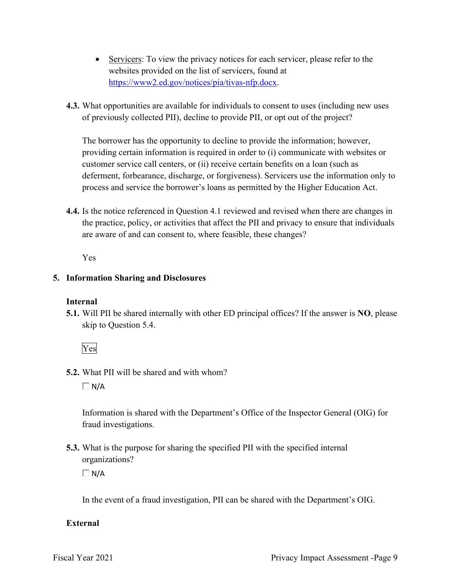- Servicers: To view the privacy notices for each servicer, please refer to the websites provided on the list of servicers, found at [https://www2.ed.gov/notices/pia/tivas-nfp.docx.](https://www2.ed.gov/notices/pia/tivas-nfp.docx)
- of previously collected PII), decline to provide PII, or opt out of the project? **4.3.** What opportunities are available for individuals to consent to uses (including new uses

 providing certain information is required in order to (i) communicate with websites or The borrower has the opportunity to decline to provide the information; however, customer service call centers, or (ii) receive certain benefits on a loan (such as deferment, forbearance, discharge, or forgiveness). Servicers use the information only to process and service the borrower's loans as permitted by the Higher Education Act.

**4.4.** Is the notice referenced in Question 4.1 reviewed and revised when there are changes in the practice, policy, or activities that affect the PII and privacy to ensure that individuals are aware of and can consent to, where feasible, these changes?

Yes

# **5. Information Sharing and Disclosures**

# **Internal**

 **5.1.** Will PII be shared internally with other ED principal offices? If the answer is **NO**, please skip to Question 5.4.

Yes

**5.2.** What PII will be shared and with whom?

 $\Box$  N/A

Information is shared with the Department's Office of the Inspector General (OIG) for fraud investigations.

 **5.3.** What is the purpose for sharing the specified PII with the specified internal organizations?

 $\Box$  N/A

In the event of a fraud investigation, PII can be shared with the Department's OIG.

# **External**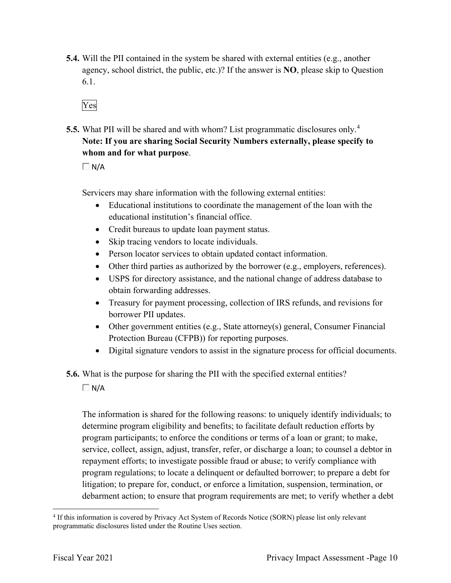- **5.4.** Will the PII contained in the system be shared with external entities (e.g., another agency, school district, the public, etc.)? If the answer is **NO**, please skip to Question 6.1.
	- Yes
- **5.5.** What PII will be shared and with whom? List programmatic disclosures only. 4  **Note: If you are sharing Social Security Numbers externally, please specify to whom and for what purpose**.

 $\Box$  N/A

Servicers may share information with the following external entities:

- Educational institutions to coordinate the management of the loan with the educational institution's financial office.
- Credit bureaus to update loan payment status.
- Skip tracing vendors to locate individuals.
- Person locator services to obtain updated contact information.
- Other third parties as authorized by the borrower (e.g., employers, references).
- USPS for directory assistance, and the national change of address database to obtain forwarding addresses.
- Treasury for payment processing, collection of IRS refunds, and revisions for borrower PII updates.
- Other government entities (e.g., State attorney(s) general, Consumer Financial Protection Bureau (CFPB)) for reporting purposes.
- Digital signature vendors to assist in the signature process for official documents.
- **5.6.** What is the purpose for sharing the PII with the specified external entities?  $\Box$  N/A

 program participants; to enforce the conditions or terms of a loan or grant; to make, debarment action; to ensure that program requirements are met; to verify whether a debt The information is shared for the following reasons: to uniquely identify individuals; to determine program eligibility and benefits; to facilitate default reduction efforts by service, collect, assign, adjust, transfer, refer, or discharge a loan; to counsel a debtor in repayment efforts; to investigate possible fraud or abuse; to verify compliance with program regulations; to locate a delinquent or defaulted borrower; to prepare a debt for litigation; to prepare for, conduct, or enforce a limitation, suspension, termination, or

<sup>&</sup>lt;sup>4</sup> If this information is covered by Privacy Act System of Records Notice (SORN) please list only relevant programmatic disclosures listed under the Routine Uses section.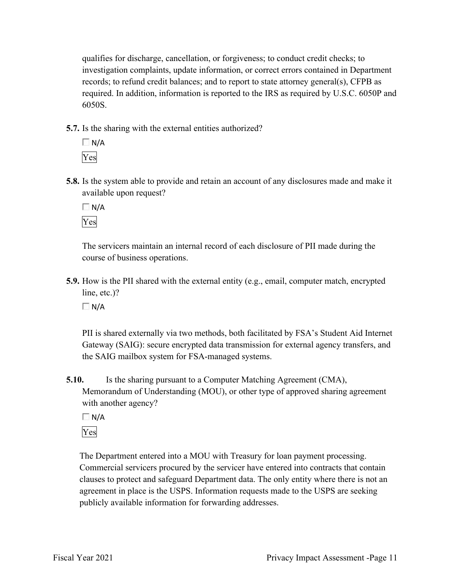qualifies for discharge, cancellation, or forgiveness; to conduct credit checks; to investigation complaints, update information, or correct errors contained in Department records; to refund credit balances; and to report to state attorney general(s), CFPB as required. In addition, information is reported to the IRS as required by U.S.C. 6050P and 6050S.

**5.7.** Is the sharing with the external entities authorized?



**5.8.** Is the system able to provide and retain an account of any disclosures made and make it available upon request?

 $\Box$  N/A Yes

The servicers maintain an internal record of each disclosure of PII made during the course of business operations.

**5.9.** How is the PII shared with the external entity (e.g., email, computer match, encrypted line, etc.)?

 $\Box$  N/A

 Gateway (SAIG): secure encrypted data transmission for external agency transfers, and PII is shared externally via two methods, both facilitated by FSA's Student Aid Internet the SAIG mailbox system for FSA-managed systems.

**5.10.** Is the sharing pursuant to a Computer Matching Agreement (CMA), Memorandum of Understanding (MOU), or other type of approved sharing agreement with another agency?

 $\Box$  N/A

Yes

 clauses to protect and safeguard Department data. The only entity where there is not an The Department entered into a MOU with Treasury for loan payment processing. Commercial servicers procured by the servicer have entered into contracts that contain agreement in place is the USPS. Information requests made to the USPS are seeking publicly available information for forwarding addresses.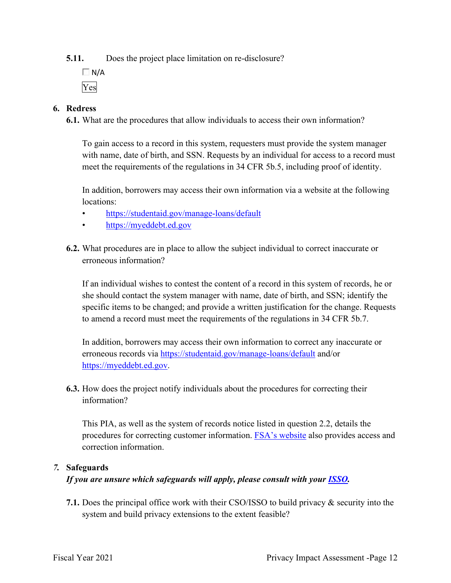**5.11.** Does the project place limitation on re-disclosure?

 $\Box$  N/A Yes

# **6. Redress**

**6.1.** What are the procedures that allow individuals to access their own information?

To gain access to a record in this system, requesters must provide the system manager with name, date of birth, and SSN. Requests by an individual for access to a record must meet the requirements of the regulations in 34 CFR 5b.5, including proof of identity.

 In addition, borrowers may access their own information via a website at the following locations:

- <https://studentaid.gov/manage-loans/default>
- <https://myeddebt.ed.gov>
- **6.2.** What procedures are in place to allow the subject individual to correct inaccurate or erroneous information?

 she should contact the system manager with name, date of birth, and SSN; identify the specific items to be changed; and provide a written justification for the change. Requests to amend a record must meet the requirements of the regulations in 34 CFR 5b.7. If an individual wishes to contest the content of a record in this system of records, he or

 In addition, borrowers may access their own information to correct any inaccurate or erroneous records via <https://studentaid.gov/manage-loans/default> and/or [https://myeddebt.ed.gov.](https://myeddebt.ed.gov)

**6.3.** How does the project notify individuals about the procedures for correcting their information?

 This PIA, as well as the system of records notice listed in question 2.2, details the procedures for correcting customer information. FSA's website also provides access and correction information.

# *7.* **Safeguards**

*If you are unsure which safeguards will apply, please consult with your ISSO.* 

 **7.1.** Does the principal office work with their CSO/ISSO to build privacy & security into the system and build privacy extensions to the extent feasible?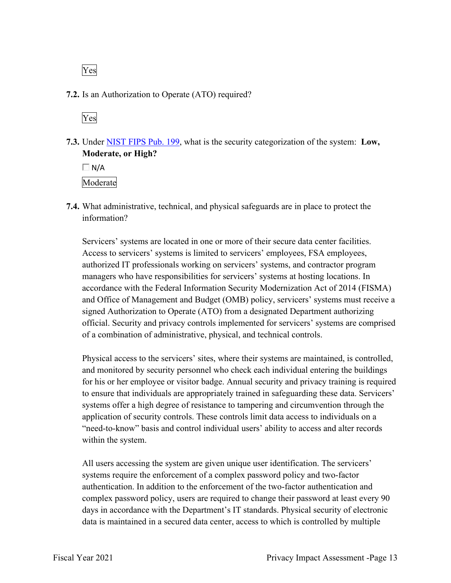Yes

# **7.2.** Is an Authorization to Operate (ATO) required?

Yes

 **7.3.** Under NIST FIPS Pub. 199, what is the security categorization of the system: **Low, Moderate, or High?** 

 $\Box$  N/A Moderate

 **7.4.** What administrative, technical, and physical safeguards are in place to protect the information?

 Servicers' systems are located in one or more of their secure data center facilities. signed Authorization to Operate (ATO) from a designated Department authorizing Access to servicers' systems is limited to servicers' employees, FSA employees, authorized IT professionals working on servicers' systems, and contractor program managers who have responsibilities for servicers' systems at hosting locations. In accordance with the Federal Information Security Modernization Act of 2014 (FISMA) and Office of Management and Budget (OMB) policy, servicers' systems must receive a official. Security and privacy controls implemented for servicers' systems are comprised of a combination of administrative, physical, and technical controls.

 application of security controls. These controls limit data access to individuals on a Physical access to the servicers' sites, where their systems are maintained, is controlled, and monitored by security personnel who check each individual entering the buildings for his or her employee or visitor badge. Annual security and privacy training is required to ensure that individuals are appropriately trained in safeguarding these data. Servicers' systems offer a high degree of resistance to tampering and circumvention through the "need-to-know" basis and control individual users' ability to access and alter records within the system.

 All users accessing the system are given unique user identification. The servicers' complex password policy, users are required to change their password at least every 90 systems require the enforcement of a complex password policy and two-factor authentication. In addition to the enforcement of the two-factor authentication and days in accordance with the Department's IT standards. Physical security of electronic data is maintained in a secured data center, access to which is controlled by multiple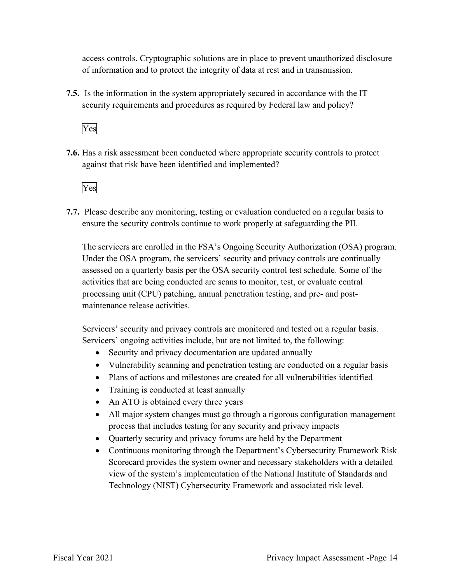access controls. Cryptographic solutions are in place to prevent unauthorized disclosure of information and to protect the integrity of data at rest and in transmission.

 **7.5.** Is the information in the system appropriately secured in accordance with the IT security requirements and procedures as required by Federal law and policy?

Yes

**7.6.** Has a risk assessment been conducted where appropriate security controls to protect against that risk have been identified and implemented?



 ensure the security controls continue to work properly at safeguarding the PII. **7.7.** Please describe any monitoring, testing or evaluation conducted on a regular basis to

 activities that are being conducted are scans to monitor, test, or evaluate central The servicers are enrolled in the FSA's Ongoing Security Authorization (OSA) program. Under the OSA program, the servicers' security and privacy controls are continually assessed on a quarterly basis per the OSA security control test schedule. Some of the processing unit (CPU) patching, annual penetration testing, and pre- and postmaintenance release activities.

Servicers' security and privacy controls are monitored and tested on a regular basis. Servicers' ongoing activities include, but are not limited to, the following:

- Security and privacy documentation are updated annually
- Vulnerability scanning and penetration testing are conducted on a regular basis
- Plans of actions and milestones are created for all vulnerabilities identified
- Training is conducted at least annually
- An ATO is obtained every three years
- process that includes testing for any security and privacy impacts • All major system changes must go through a rigorous configuration management
- Quarterly security and privacy forums are held by the Department
- Continuous monitoring through the Department's Cybersecurity Framework Risk Scorecard provides the system owner and necessary stakeholders with a detailed view of the system's implementation of the National Institute of Standards and Technology (NIST) Cybersecurity Framework and associated risk level.